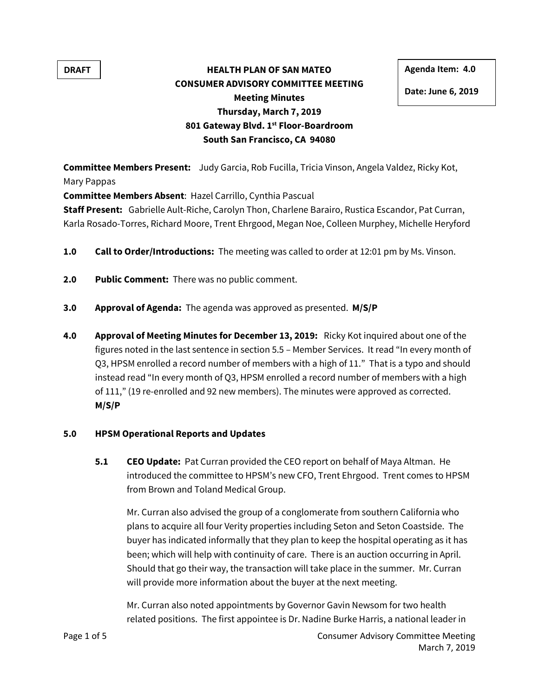## **DRAFT Agenda Item: 4.0 HEALTH PLAN OF SAN MATEO Agenda Item: 4.0 CONSUMER ADVISORY COMMITTEE MEETING Meeting Minutes Thursday, March 7, 2019 801 Gateway Blvd. 1st Floor-Boardroom South San Francisco, CA 94080**

**Date: June 6, 2019**

**Committee Members Present:** Judy Garcia, Rob Fucilla, Tricia Vinson, Angela Valdez, Ricky Kot, Mary Pappas

**Committee Members Absent**: Hazel Carrillo, Cynthia Pascual

**Staff Present:** Gabrielle Ault-Riche, Carolyn Thon, Charlene Barairo, Rustica Escandor, Pat Curran, Karla Rosado-Torres, Richard Moore, Trent Ehrgood, Megan Noe, Colleen Murphey, Michelle Heryford

- **1.0 Call to Order/Introductions:** The meeting was called to order at 12:01 pm by Ms. Vinson.
- **2.0 Public Comment:** There was no public comment.
- **3.0 Approval of Agenda:** The agenda was approved as presented. **M/S/P**
- **4.0 Approval of Meeting Minutes for December 13, 2019:** Ricky Kot inquired about one of the figures noted in the last sentence in section 5.5 – Member Services. It read "In every month of Q3, HPSM enrolled a record number of members with a high of 11." That is a typo and should instead read "In every month of Q3, HPSM enrolled a record number of members with a high of 111," (19 re-enrolled and 92 new members). The minutes were approved as corrected. **M/S/P**

## **5.0 HPSM Operational Reports and Updates**

**5.1 CEO Update:** Pat Curran provided the CEO report on behalf of Maya Altman. He introduced the committee to HPSM's new CFO, Trent Ehrgood. Trent comes to HPSM from Brown and Toland Medical Group.

Mr. Curran also advised the group of a conglomerate from southern California who plans to acquire all four Verity properties including Seton and Seton Coastside. The buyer has indicated informally that they plan to keep the hospital operating as it has been; which will help with continuity of care. There is an auction occurring in April. Should that go their way, the transaction will take place in the summer. Mr. Curran will provide more information about the buyer at the next meeting.

Mr. Curran also noted appointments by Governor Gavin Newsom for two health related positions. The first appointee is Dr. Nadine Burke Harris, a national leader in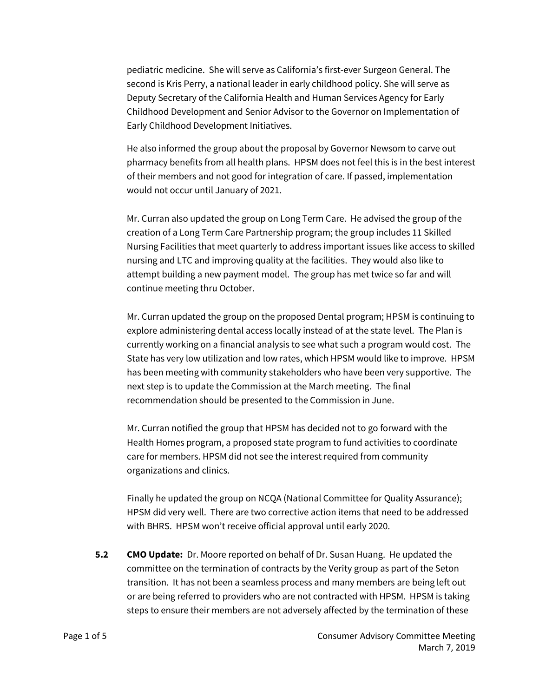pediatric medicine. She will serve as California's first-ever Surgeon General. The second is Kris Perry, a national leader in early childhood policy. She will serve as Deputy Secretary of the California Health and Human Services Agency for Early Childhood Development and Senior Advisor to the Governor on Implementation of Early Childhood Development Initiatives.

He also informed the group about the proposal by Governor Newsom to carve out pharmacy benefits from all health plans. HPSM does not feel this is in the best interest of their members and not good for integration of care. If passed, implementation would not occur until January of 2021.

Mr. Curran also updated the group on Long Term Care. He advised the group of the creation of a Long Term Care Partnership program; the group includes 11 Skilled Nursing Facilities that meet quarterly to address important issues like access to skilled nursing and LTC and improving quality at the facilities. They would also like to attempt building a new payment model. The group has met twice so far and will continue meeting thru October.

Mr. Curran updated the group on the proposed Dental program; HPSM is continuing to explore administering dental access locally instead of at the state level. The Plan is currently working on a financial analysis to see what such a program would cost. The State has very low utilization and low rates, which HPSM would like to improve. HPSM has been meeting with community stakeholders who have been very supportive. The next step is to update the Commission at the March meeting. The final recommendation should be presented to the Commission in June.

Mr. Curran notified the group that HPSM has decided not to go forward with the Health Homes program, a proposed state program to fund activities to coordinate care for members. HPSM did not see the interest required from community organizations and clinics.

Finally he updated the group on NCQA (National Committee for Quality Assurance); HPSM did very well. There are two corrective action items that need to be addressed with BHRS. HPSM won't receive official approval until early 2020.

**5.2 CMO Update:** Dr. Moore reported on behalf of Dr. Susan Huang. He updated the committee on the termination of contracts by the Verity group as part of the Seton transition. It has not been a seamless process and many members are being left out or are being referred to providers who are not contracted with HPSM. HPSM is taking steps to ensure their members are not adversely affected by the termination of these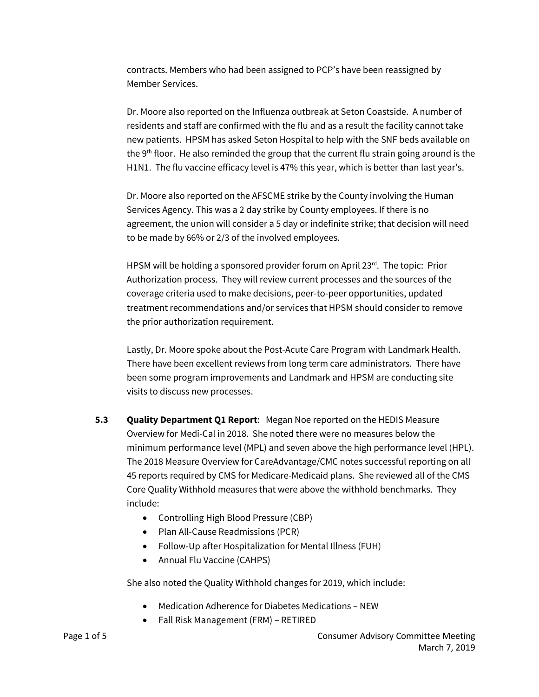contracts. Members who had been assigned to PCP's have been reassigned by Member Services.

Dr. Moore also reported on the Influenza outbreak at Seton Coastside. A number of residents and staff are confirmed with the flu and as a result the facility cannot take new patients. HPSM has asked Seton Hospital to help with the SNF beds available on the 9<sup>th</sup> floor. He also reminded the group that the current flu strain going around is the H1N1. The flu vaccine efficacy level is 47% this year, which is better than last year's.

Dr. Moore also reported on the AFSCME strike by the County involving the Human Services Agency. This was a 2 day strike by County employees. If there is no agreement, the union will consider a 5 day or indefinite strike; that decision will need to be made by 66% or 2/3 of the involved employees.

HPSM will be holding a sponsored provider forum on April 23<sup>rd</sup>. The topic: Prior Authorization process. They will review current processes and the sources of the coverage criteria used to make decisions, peer-to-peer opportunities, updated treatment recommendations and/or services that HPSM should consider to remove the prior authorization requirement.

Lastly, Dr. Moore spoke about the Post-Acute Care Program with Landmark Health. There have been excellent reviews from long term care administrators. There have been some program improvements and Landmark and HPSM are conducting site visits to discuss new processes.

- **5.3 Quality Department Q1 Report**: Megan Noe reported on the HEDIS Measure Overview for Medi-Cal in 2018. She noted there were no measures below the minimum performance level (MPL) and seven above the high performance level (HPL). The 2018 Measure Overview for CareAdvantage/CMC notes successful reporting on all 45 reports required by CMS for Medicare-Medicaid plans. She reviewed all of the CMS Core Quality Withhold measures that were above the withhold benchmarks. They include:
	- Controlling High Blood Pressure (CBP)
	- Plan All-Cause Readmissions (PCR)
	- Follow-Up after Hospitalization for Mental Illness (FUH)
	- Annual Flu Vaccine (CAHPS)

She also noted the Quality Withhold changes for 2019, which include:

- Medication Adherence for Diabetes Medications NEW
- Fall Risk Management (FRM) RETIRED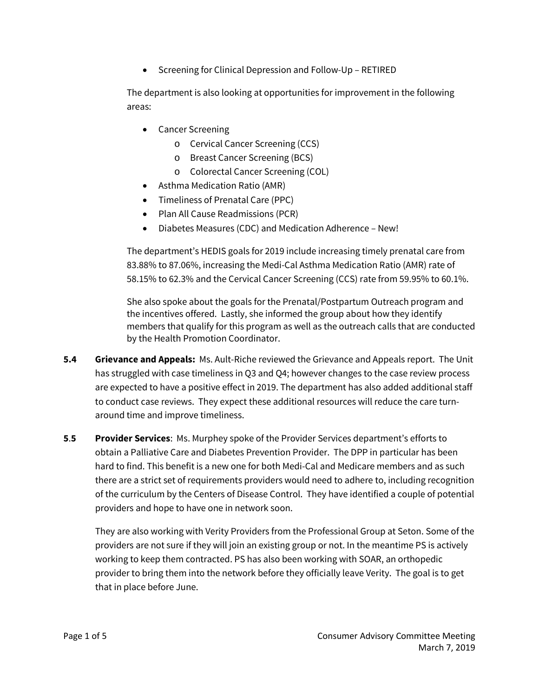• Screening for Clinical Depression and Follow-Up – RETIRED

The department is also looking at opportunities for improvement in the following areas:

- Cancer Screening
	- o Cervical Cancer Screening (CCS)
	- o Breast Cancer Screening (BCS)
	- o Colorectal Cancer Screening (COL)
- Asthma Medication Ratio (AMR)
- Timeliness of Prenatal Care (PPC)
- Plan All Cause Readmissions (PCR)
- Diabetes Measures (CDC) and Medication Adherence New!

The department's HEDIS goals for 2019 include increasing timely prenatal care from 83.88% to 87.06%, increasing the Medi-Cal Asthma Medication Ratio (AMR) rate of 58.15% to 62.3% and the Cervical Cancer Screening (CCS) rate from 59.95% to 60.1%.

She also spoke about the goals for the Prenatal/Postpartum Outreach program and the incentives offered. Lastly, she informed the group about how they identify members that qualify for this program as well as the outreach calls that are conducted by the Health Promotion Coordinator.

- **5.4 Grievance and Appeals:** Ms. Ault-Riche reviewed the Grievance and Appeals report. The Unit has struggled with case timeliness in Q3 and Q4; however changes to the case review process are expected to have a positive effect in 2019. The department has also added additional staff to conduct case reviews. They expect these additional resources will reduce the care turnaround time and improve timeliness.
- **5**.**5 Provider Services**: Ms. Murphey spoke of the Provider Services department's efforts to obtain a Palliative Care and Diabetes Prevention Provider. The DPP in particular has been hard to find. This benefit is a new one for both Medi-Cal and Medicare members and as such there are a strict set of requirements providers would need to adhere to, including recognition of the curriculum by the Centers of Disease Control. They have identified a couple of potential providers and hope to have one in network soon.

They are also working with Verity Providers from the Professional Group at Seton. Some of the providers are not sure if they will join an existing group or not. In the meantime PS is actively working to keep them contracted. PS has also been working with SOAR, an orthopedic provider to bring them into the network before they officially leave Verity. The goal is to get that in place before June.